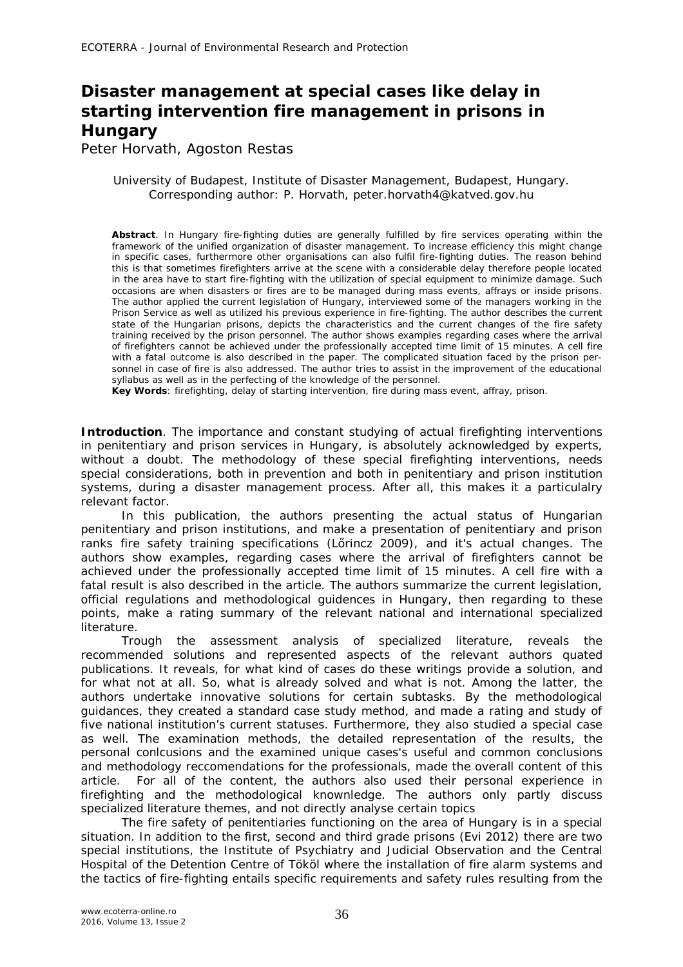## **Disaster management at special cases like delay in starting intervention fire management in prisons in Hungary**

Peter Horvath, Agoston Restas

## University of Budapest, Institute of Disaster Management, Budapest, Hungary. Corresponding author: P. Horvath, peter.horvath4@katved.gov.hu

**Abstract**. In Hungary fire-fighting duties are generally fulfilled by fire services operating within the framework of the unified organization of disaster management. To increase efficiency this might change in specific cases, furthermore other organisations can also fulfil fire-fighting duties. The reason behind this is that sometimes firefighters arrive at the scene with a considerable delay therefore people located in the area have to start fire-fighting with the utilization of special equipment to minimize damage. Such occasions are when disasters or fires are to be managed during mass events, affrays or inside prisons. The author applied the current legislation of Hungary, interviewed some of the managers working in the Prison Service as well as utilized his previous experience in fire-fighting. The author describes the current state of the Hungarian prisons, depicts the characteristics and the current changes of the fire safety training received by the prison personnel. The author shows examples regarding cases where the arrival of firefighters cannot be achieved under the professionally accepted time limit of 15 minutes. A cell fire with a fatal outcome is also described in the paper. The complicated situation faced by the prison personnel in case of fire is also addressed. The author tries to assist in the improvement of the educational syllabus as well as in the perfecting of the knowledge of the personnel.

**Key Words**: firefighting, delay of starting intervention, fire during mass event, affray, prison.

**Introduction**. The importance and constant studying of actual firefighting interventions in penitentiary and prison services in Hungary, is absolutely acknowledged by experts, without a doubt. The methodology of these special firefighting interventions, needs special considerations, both in prevention and both in penitentiary and prison institution systems, during a disaster management process. After all, this makes it a particulalry relevant factor.

In this publication, the authors presenting the actual status of Hungarian penitentiary and prison institutions, and make a presentation of penitentiary and prison ranks fire safety training specifications (Lőrincz 2009), and it's actual changes. The authors show examples, regarding cases where the arrival of firefighters cannot be achieved under the professionally accepted time limit of 15 minutes. A cell fire with a fatal result is also described in the article. The authors summarize the current legislation, official regulations and methodological guidences in Hungary, then regarding to these points, make a rating summary of the relevant national and international specialized literature.

Trough the assessment analysis of specialized literature, reveals the recommended solutions and represented aspects of the relevant authors quated publications. It reveals, for what kind of cases do these writings provide a solution, and for what not at all. So, what is already solved and what is not. Among the latter, the authors undertake innovative solutions for certain subtasks. By the methodological guidances, they created a standard case study method, and made a rating and study of five national institution's current statuses. Furthermore, they also studied a special case as well. The examination methods, the detailed representation of the results, the personal conlcusions and the examined unique cases's useful and common conclusions and methodology reccomendations for the professionals, made the overall content of this article. For all of the content, the authors also used their personal experience in firefighting and the methodological knownledge. The authors only partly discuss specialized literature themes, and not directly analyse certain topics

The fire safety of penitentiaries functioning on the area of Hungary is in a special situation. In addition to the first, second and third grade prisons (Evi 2012) there are two special institutions, the Institute of Psychiatry and Judicial Observation and the Central Hospital of the Detention Centre of Tököl where the installation of fire alarm systems and the tactics of fire-fighting entails specific requirements and safety rules resulting from the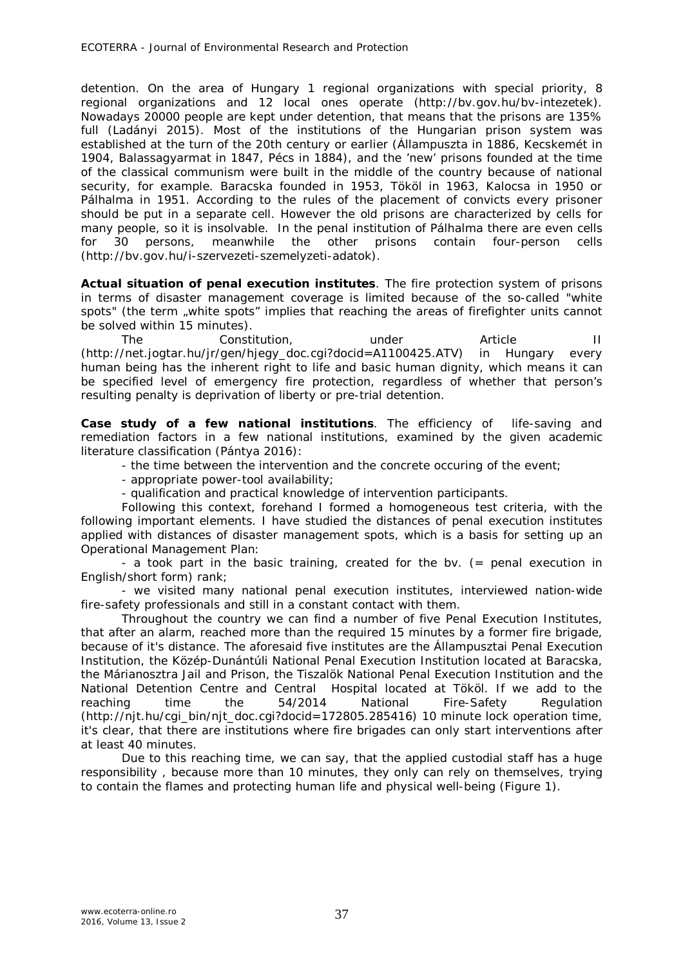detention. On the area of Hungary 1 regional organizations with special priority, 8 regional organizations and 12 local ones operate (http://bv.gov.hu/bv-intezetek). Nowadays 20000 people are kept under detention, that means that the prisons are 135% full (Ladányi 2015). Most of the institutions of the Hungarian prison system was established at the turn of the 20th century or earlier (Állampuszta in 1886, Kecskemét in 1904, Balassagyarmat in 1847, Pécs in 1884), and the 'new' prisons founded at the time of the classical communism were built in the middle of the country because of national security, for example. Baracska founded in 1953, Tököl in 1963, Kalocsa in 1950 or Pálhalma in 1951. According to the rules of the placement of convicts every prisoner should be put in a separate cell. However the old prisons are characterized by cells for many people, so it is insolvable. In the penal institution of Pálhalma there are even cells for 30 persons, meanwhile the other prisons contain four-person cells (http://bv.gov.hu/i-szervezeti-szemelyzeti-adatok).

**Actual situation of penal execution institutes**. The fire protection system of prisons in terms of disaster management coverage is limited because of the so-called "white spots" (the term "white spots" implies that reaching the areas of firefighter units cannot be solved within 15 minutes).

The Constitution, and under Article II (http://net.jogtar.hu/jr/gen/hjegy\_doc.cgi?docid=A1100425.ATV) in Hungary every human being has the inherent right to life and basic human dignity, which means it can be specified level of emergency fire protection, regardless of whether that person's resulting penalty is deprivation of liberty or pre-trial detention.

**Case study of a few national institutions**. The efficiency of life-saving and remediation factors in a few national institutions, examined by the given academic literature classification (Pántya 2016):

- the time between the intervention and the concrete occuring of the event;
- appropriate power-tool availability;
- qualification and practical knowledge of intervention participants.

Following this context, forehand I formed a homogeneous test criteria, with the following important elements. I have studied the distances of penal execution institutes applied with distances of disaster management spots, which is a basis for setting up an Operational Management Plan:

- a took part in the basic training, created for the bv. (= penal execution in English/short form) rank;

- we visited many national penal execution institutes, interviewed nation-wide fire-safety professionals and still in a constant contact with them.

Throughout the country we can find a number of five Penal Execution Institutes, that after an alarm, reached more than the required 15 minutes by a former fire brigade, because of it's distance. The aforesaid five institutes are the Állampusztai Penal Execution Institution, the Közép-Dunántúli National Penal Execution Institution located at Baracska, the Márianosztra Jail and Prison, the Tiszalök National Penal Execution Institution and the National Detention Centre and Central Hospital located at Tököl. If we add to the reaching time the 54/2014 National Fire-Safety Regulation (http://njt.hu/cgi\_bin/njt\_doc.cgi?docid=172805.285416) 10 minute lock operation time, it's clear, that there are institutions where fire brigades can only start interventions after at least 40 minutes.

Due to this reaching time, we can say, that the applied custodial staff has a huge responsibility , because more than 10 minutes, they only can rely on themselves, trying to contain the flames and protecting human life and physical well-being (Figure 1).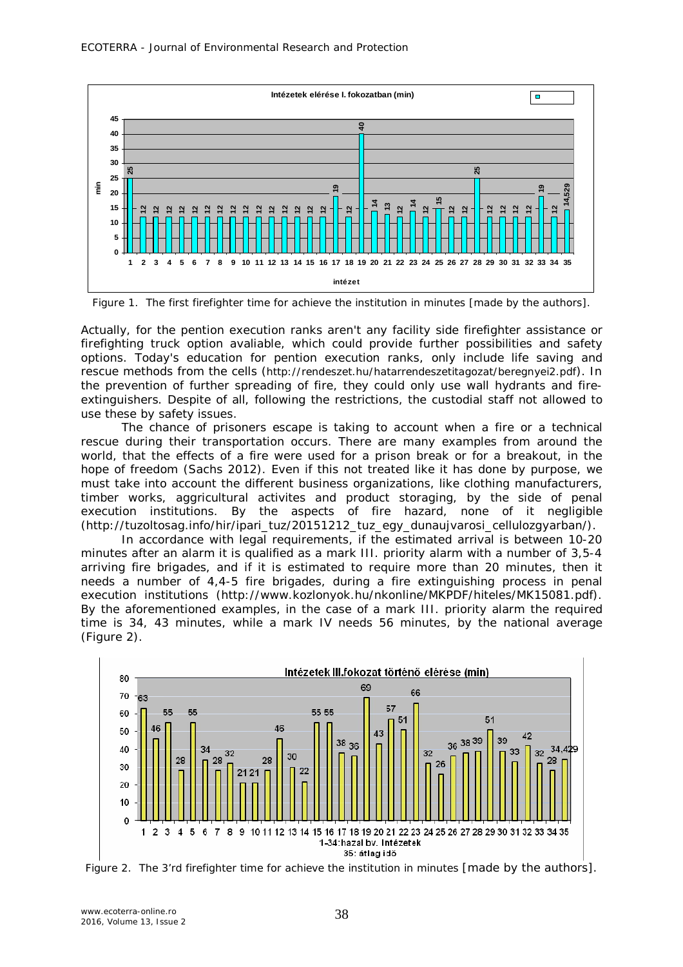

Figure 1. The first firefighter time for achieve the institution in minutes [made by the authors].

Actually, for the pention execution ranks aren't any facility side firefighter assistance or firefighting truck option avaliable, which could provide further possibilities and safety options. Today's education for pention execution ranks, only include life saving and rescue methods from the cells (http://rendeszet.hu/hatarrendeszetitagozat/beregnyei2.pdf). In the prevention of further spreading of fire, they could only use wall hydrants and fireextinguishers. Despite of all, following the restrictions, the custodial staff not allowed to use these by safety issues.

The chance of prisoners escape is taking to account when a fire or a technical rescue during their transportation occurs. There are many examples from around the world, that the effects of a fire were used for a prison break or for a breakout, in the hope of freedom (Sachs 2012). Even if this not treated like it has done by purpose, we must take into account the different business organizations, like clothing manufacturers, timber works, aggricultural activites and product storaging, by the side of penal execution institutions. By the aspects of fire hazard, none of it negligible (http://tuzoltosag.info/hir/ipari\_tuz/20151212\_tuz\_egy\_dunaujvarosi\_cellulozgyarban/).

In accordance with legal requirements, if the estimated arrival is between 10-20 minutes after an alarm it is qualified as a mark III. priority alarm with a number of 3,5-4 arriving fire brigades, and if it is estimated to require more than 20 minutes, then it needs a number of 4,4-5 fire brigades, during a fire extinguishing process in penal execution institutions (http://www.kozlonyok.hu/nkonline/MKPDF/hiteles/MK15081.pdf). By the aforementioned examples, in the case of a mark III. priority alarm the required time is 34, 43 minutes, while a mark IV needs 56 minutes, by the national average (Figure 2).



Figure 2. The 3'rd firefighter time for achieve the institution in minutes [made by the authors].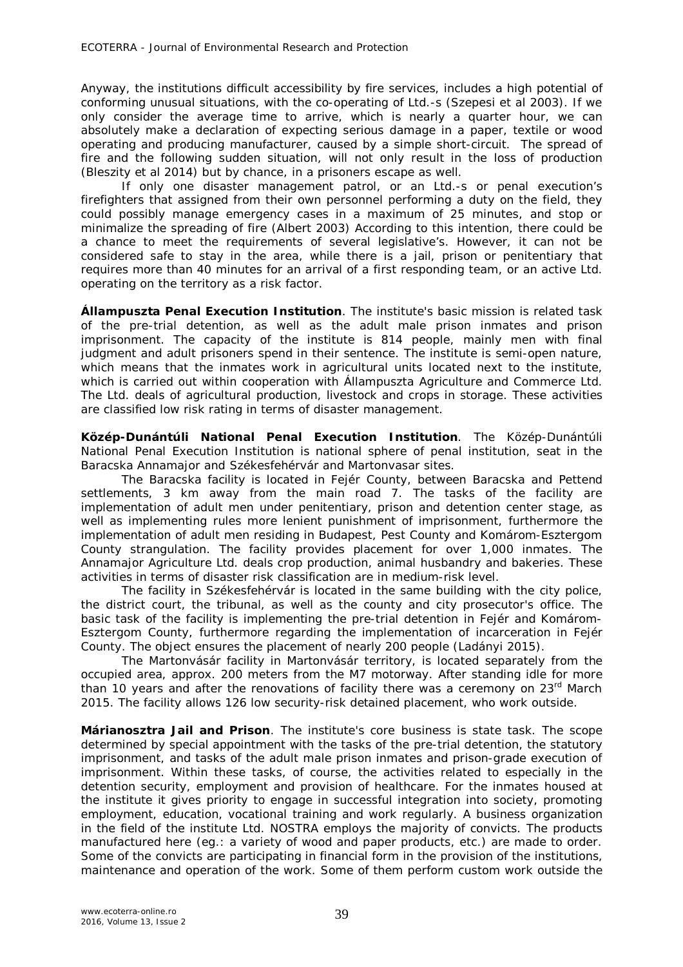Anyway, the institutions difficult accessibility by fire services, includes a high potential of conforming unusual situations, with the co-operating of Ltd.-s (Szepesi et al 2003). If we only consider the average time to arrive, which is nearly a quarter hour, we can absolutely make a declaration of expecting serious damage in a paper, textile or wood operating and producing manufacturer, caused by a simple short-circuit. The spread of fire and the following sudden situation, will not only result in the loss of production (Bleszity et al 2014) but by chance, in a prisoners escape as well.

If only one disaster management patrol, or an Ltd.-s or penal execution's firefighters that assigned from their own personnel performing a duty on the field, they could possibly manage emergency cases in a maximum of 25 minutes, and stop or minimalize the spreading of fire (Albert 2003) According to this intention, there could be a chance to meet the requirements of several legislative's. However, it can not be considered safe to stay in the area, while there is a jail, prison or penitentiary that requires more than 40 minutes for an arrival of a first responding team, or an active Ltd. operating on the territory as a risk factor.

*Állampuszta Penal Execution Institution.* The institute's basic mission is related task of the pre-trial detention, as well as the adult male prison inmates and prison imprisonment. The capacity of the institute is 814 people, mainly men with final judgment and adult prisoners spend in their sentence. The institute is semi-open nature, which means that the inmates work in agricultural units located next to the institute, which is carried out within cooperation with Állampuszta Agriculture and Commerce Ltd. The Ltd. deals of agricultural production, livestock and crops in storage. These activities are classified low risk rating in terms of disaster management.

*Közép-Dunántúli National Penal Execution Institution.* The Közép-Dunántúli National Penal Execution Institution is national sphere of penal institution, seat in the Baracska Annamajor and Székesfehérvár and Martonvasar sites.

The Baracska facility is located in Fejér County, between Baracska and Pettend settlements, 3 km away from the main road 7. The tasks of the facility are implementation of adult men under penitentiary, prison and detention center stage, as well as implementing rules more lenient punishment of imprisonment, furthermore the implementation of adult men residing in Budapest, Pest County and Komárom-Esztergom County strangulation. The facility provides placement for over 1,000 inmates. The Annamajor Agriculture Ltd. deals crop production, animal husbandry and bakeries. These activities in terms of disaster risk classification are in medium-risk level.

The facility in Székesfehérvár is located in the same building with the city police, the district court, the tribunal, as well as the county and city prosecutor's office. The basic task of the facility is implementing the pre-trial detention in Fejér and Komárom-Esztergom County, furthermore regarding the implementation of incarceration in Fejér County. The object ensures the placement of nearly 200 people (Ladányi 2015).

The Martonvásár facility in Martonvásár territory, is located separately from the occupied area, approx. 200 meters from the M7 motorway. After standing idle for more than 10 years and after the renovations of facility there was a ceremony on  $23<sup>rd</sup>$  March 2015. The facility allows 126 low security-risk detained placement, who work outside.

*Márianosztra Jail and Prison.* The institute's core business is state task. The scope determined by special appointment with the tasks of the pre-trial detention, the statutory imprisonment, and tasks of the adult male prison inmates and prison-grade execution of imprisonment. Within these tasks, of course, the activities related to especially in the detention security, employment and provision of healthcare. For the inmates housed at the institute it gives priority to engage in successful integration into society, promoting employment, education, vocational training and work regularly. A business organization in the field of the institute Ltd. NOSTRA employs the majority of convicts. The products manufactured here (eg.: a variety of wood and paper products, etc.) are made to order. Some of the convicts are participating in financial form in the provision of the institutions, maintenance and operation of the work. Some of them perform custom work outside the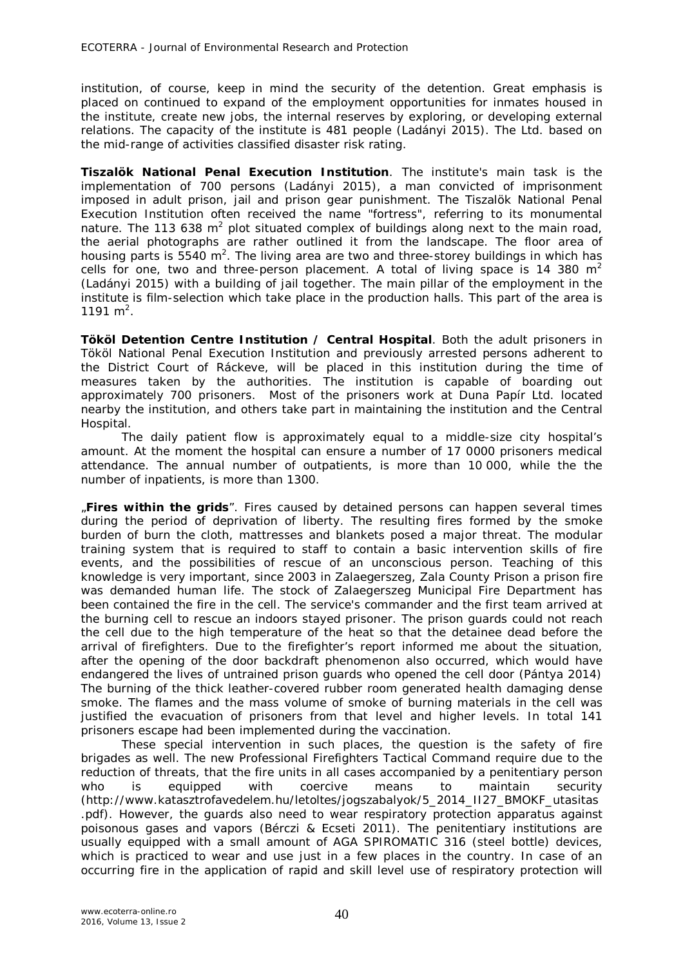institution, of course, keep in mind the security of the detention. Great emphasis is placed on continued to expand of the employment opportunities for inmates housed in the institute, create new jobs, the internal reserves by exploring, or developing external relations. The capacity of the institute is 481 people (Ladányi 2015). The Ltd. based on the mid-range of activities classified disaster risk rating.

*Tiszalök National Penal Execution Institution.* The institute's main task is the implementation of 700 persons (Ladányi 2015), a man convicted of imprisonment imposed in adult prison, jail and prison gear punishment. The Tiszalök National Penal Execution Institution often received the name "fortress", referring to its monumental nature. The 113 638 m<sup>2</sup> plot situated complex of buildings along next to the main road, the aerial photographs are rather outlined it from the landscape. The floor area of housing parts is 5540 m<sup>2</sup>. The living area are two and three-storey buildings in which has cells for one, two and three-person placement. A total of living space is 14 380  $m<sup>2</sup>$ (Ladányi 2015) with a building of jail together. The main pillar of the employment in the institute is film-selection which take place in the production halls. This part of the area is 1191 $m^2$ .

*Tököl Detention Centre Institution / Central Hospital.* Both the adult prisoners in Tököl National Penal Execution Institution and previously arrested persons adherent to the District Court of Ráckeve, will be placed in this institution during the time of measures taken by the authorities. The institution is capable of boarding out approximately 700 prisoners. Most of the prisoners work at Duna Papír Ltd. located nearby the institution, and others take part in maintaining the institution and the Central Hospital.

The daily patient flow is approximately equal to a middle-size city hospital's amount. At the moment the hospital can ensure a number of 17 0000 prisoners medical attendance. The annual number of outpatients, is more than 10 000, while the the number of inpatients, is more than 1300.

*"Fires within the grids".* Fires caused by detained persons can happen several times during the period of deprivation of liberty. The resulting fires formed by the smoke burden of burn the cloth, mattresses and blankets posed a major threat. The modular training system that is required to staff to contain a basic intervention skills of fire events, and the possibilities of rescue of an unconscious person. Teaching of this knowledge is very important, since 2003 in Zalaegerszeg, Zala County Prison a prison fire was demanded human life. The stock of Zalaegerszeg Municipal Fire Department has been contained the fire in the cell. The service's commander and the first team arrived at the burning cell to rescue an indoors stayed prisoner. The prison guards could not reach the cell due to the high temperature of the heat so that the detainee dead before the arrival of firefighters. Due to the firefighter's report informed me about the situation, after the opening of the door backdraft phenomenon also occurred, which would have endangered the lives of untrained prison guards who opened the cell door (Pántya 2014) The burning of the thick leather-covered rubber room generated health damaging dense smoke. The flames and the mass volume of smoke of burning materials in the cell was justified the evacuation of prisoners from that level and higher levels. In total 141 prisoners escape had been implemented during the vaccination.

These special intervention in such places, the question is the safety of fire brigades as well. The new Professional Firefighters Tactical Command require due to the reduction of threats, that the fire units in all cases accompanied by a penitentiary person who is equipped with coercive means to maintain security (http://www.katasztrofavedelem.hu/letoltes/jogszabalyok/5\_2014\_II27\_BMOKF\_utasitas .pdf). However, the guards also need to wear respiratory protection apparatus against poisonous gases and vapors (Bérczi & Ecseti 2011). The penitentiary institutions are usually equipped with a small amount of AGA SPIROMATIC 316 (steel bottle) devices, which is practiced to wear and use just in a few places in the country. In case of an occurring fire in the application of rapid and skill level use of respiratory protection will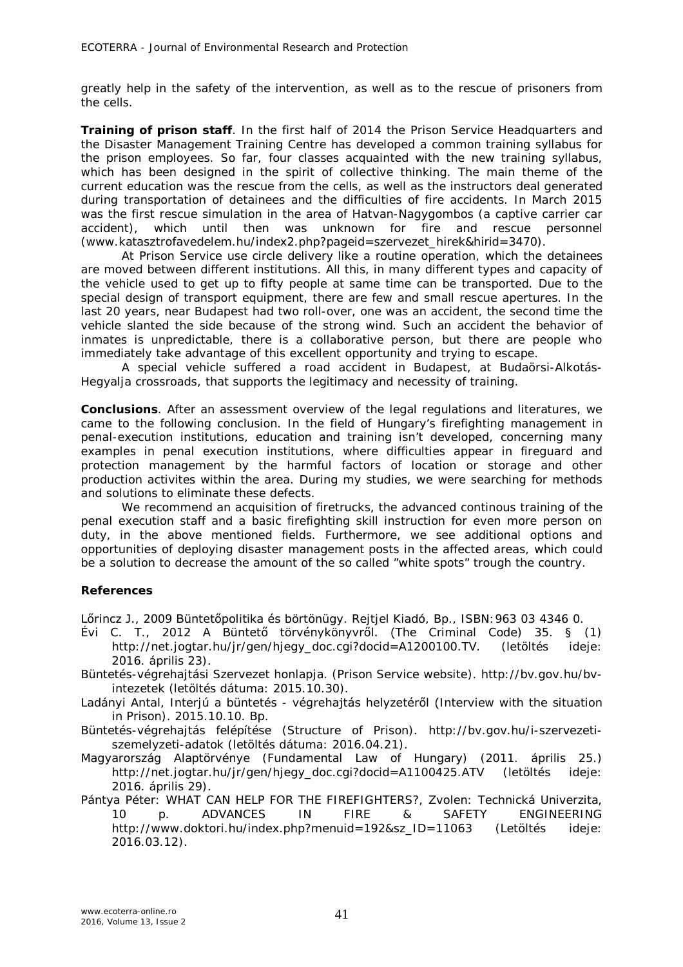greatly help in the safety of the intervention, as well as to the rescue of prisoners from the cells.

*Training of prison staff.* In the first half of 2014 the Prison Service Headquarters and the Disaster Management Training Centre has developed a common training syllabus for the prison employees. So far, four classes acquainted with the new training syllabus, which has been designed in the spirit of collective thinking. The main theme of the current education was the rescue from the cells, as well as the instructors deal generated during transportation of detainees and the difficulties of fire accidents. In March 2015 was the first rescue simulation in the area of Hatvan-Nagygombos (a captive carrier car accident), which until then was unknown for fire and rescue personnel (www.katasztrofavedelem.hu/index2.php?pageid=szervezet\_hirek&hirid=3470).

At Prison Service use circle delivery like a routine operation, which the detainees are moved between different institutions. All this, in many different types and capacity of the vehicle used to get up to fifty people at same time can be transported. Due to the special design of transport equipment, there are few and small rescue apertures. In the last 20 years, near Budapest had two roll-over, one was an accident, the second time the vehicle slanted the side because of the strong wind. Such an accident the behavior of inmates is unpredictable, there is a collaborative person, but there are people who immediately take advantage of this excellent opportunity and trying to escape.

A special vehicle suffered a road accident in Budapest, at Budaörsi-Alkotás-Hegyalja crossroads, that supports the legitimacy and necessity of training.

**Conclusions**. After an assessment overview of the legal regulations and literatures, we came to the following conclusion. In the field of Hungary's firefighting management in penal-execution institutions, education and training isn't developed, concerning many examples in penal execution institutions, where difficulties appear in fireguard and protection management by the harmful factors of location or storage and other production activites within the area. During my studies, we were searching for methods and solutions to eliminate these defects.

We recommend an acquisition of firetrucks, the advanced continous training of the penal execution staff and a basic firefighting skill instruction for even more person on duty, in the above mentioned fields. Furthermore, we see additional options and opportunities of deploying disaster management posts in the affected areas, which could be a solution to decrease the amount of the so called "white spots" trough the country.

## **References**

Lőrincz J., 2009 Büntetőpolitika és börtönügy. Rejtjel Kiadó, Bp., ISBN:963 03 4346 0.

Évi C. T., 2012 A Büntető törvénykönyvről. (The Criminal Code) 35. § (1) http://net.jogtar.hu/jr/gen/hjegy\_doc.cgi?docid=A1200100.TV. (letöltés ideje: 2016. április 23).

Büntetés-végrehajtási Szervezet honlapja. (Prison Service website). http://bv.gov.hu/bvintezetek (letöltés dátuma: 2015.10.30).

Ladányi Antal, Interjú a büntetés - végrehajtás helyzetéről (Interview with the situation in Prison). 2015.10.10. Bp.

Büntetés-végrehajtás felépítése (Structure of Prison). http://bv.gov.hu/i-szervezetiszemelyzeti-adatok (letöltés dátuma: 2016.04.21).

Magyarország Alaptörvénye (Fundamental Law of Hungary) (2011. április 25.) http://net.jogtar.hu/jr/gen/hjegy\_doc.cgi?docid=A1100425.ATV (letöltés ideje: 2016. április 29).

Pántya Péter: WHAT CAN HELP FOR THE FIREFIGHTERS?, Zvolen: Technická Univerzita, 10 p. ADVANCES IN FIRE & SAFETY ENGINEERING http://www.doktori.hu/index.php?menuid=192&sz\_ID=11063 (Letöltés ideje: 2016.03.12).